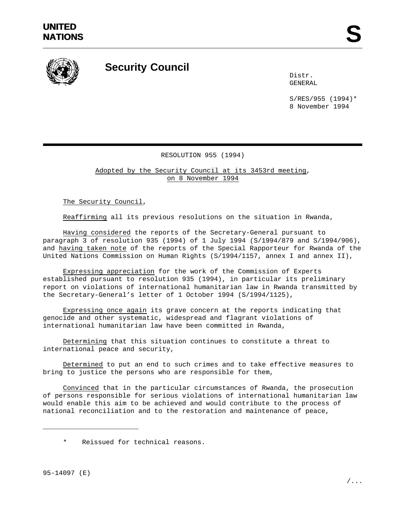

# **Security Council**

Distr. GENERAL

S/RES/955 (1994)\* 8 November 1994

# RESOLUTION 955 (1994)

Adopted by the Security Council at its 3453rd meeting, on 8 November 1994

The Security Council,

Reaffirming all its previous resolutions on the situation in Rwanda,

Having considered the reports of the Secretary-General pursuant to paragraph 3 of resolution 935 (1994) of 1 July 1994 (S/1994/879 and S/1994/906), and having taken note of the reports of the Special Rapporteur for Rwanda of the United Nations Commission on Human Rights (S/1994/1157, annex I and annex II),

Expressing appreciation for the work of the Commission of Experts established pursuant to resolution 935 (1994), in particular its preliminary report on violations of international humanitarian law in Rwanda transmitted by the Secretary-General's letter of 1 October 1994 (S/1994/1125),

Expressing once again its grave concern at the reports indicating that genocide and other systematic, widespread and flagrant violations of international humanitarian law have been committed in Rwanda,

Determining that this situation continues to constitute a threat to international peace and security,

Determined to put an end to such crimes and to take effective measures to bring to justice the persons who are responsible for them,

Convinced that in the particular circumstances of Rwanda, the prosecution of persons responsible for serious violations of international humanitarian law would enable this aim to be achieved and would contribute to the process of national reconciliation and to the restoration and maintenance of peace,

\_\_\_\_\_\_\_\_\_\_\_\_\_\_\_\_\_\_\_\_\_\_\_\_

<sup>\*</sup> Reissued for technical reasons.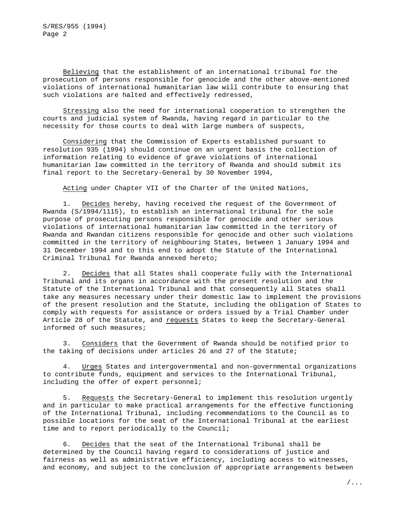Believing that the establishment of an international tribunal for the prosecution of persons responsible for genocide and the other above-mentioned violations of international humanitarian law will contribute to ensuring that such violations are halted and effectively redressed,

Stressing also the need for international cooperation to strengthen the courts and judicial system of Rwanda, having regard in particular to the necessity for those courts to deal with large numbers of suspects,

Considering that the Commission of Experts established pursuant to resolution 935 (1994) should continue on an urgent basis the collection of information relating to evidence of grave violations of international humanitarian law committed in the territory of Rwanda and should submit its final report to the Secretary-General by 30 November 1994,

Acting under Chapter VII of the Charter of the United Nations,

1. Decides hereby, having received the request of the Government of Rwanda (S/1994/1115), to establish an international tribunal for the sole purpose of prosecuting persons responsible for genocide and other serious violations of international humanitarian law committed in the territory of Rwanda and Rwandan citizens responsible for genocide and other such violations committed in the territory of neighbouring States, between 1 January 1994 and 31 December 1994 and to this end to adopt the Statute of the International Criminal Tribunal for Rwanda annexed hereto;

2. Decides that all States shall cooperate fully with the International Tribunal and its organs in accordance with the present resolution and the Statute of the International Tribunal and that consequently all States shall take any measures necessary under their domestic law to implement the provisions of the present resolution and the Statute, including the obligation of States to comply with requests for assistance or orders issued by a Trial Chamber under Article 28 of the Statute, and requests States to keep the Secretary-General informed of such measures;

3. Considers that the Government of Rwanda should be notified prior to the taking of decisions under articles 26 and 27 of the Statute;

4. Urges States and intergovernmental and non-governmental organizations to contribute funds, equipment and services to the International Tribunal, including the offer of expert personnel;

5. Requests the Secretary-General to implement this resolution urgently and in particular to make practical arrangements for the effective functioning of the International Tribunal, including recommendations to the Council as to possible locations for the seat of the International Tribunal at the earliest time and to report periodically to the Council;

6. Decides that the seat of the International Tribunal shall be determined by the Council having regard to considerations of justice and fairness as well as administrative efficiency, including access to witnesses, and economy, and subject to the conclusion of appropriate arrangements between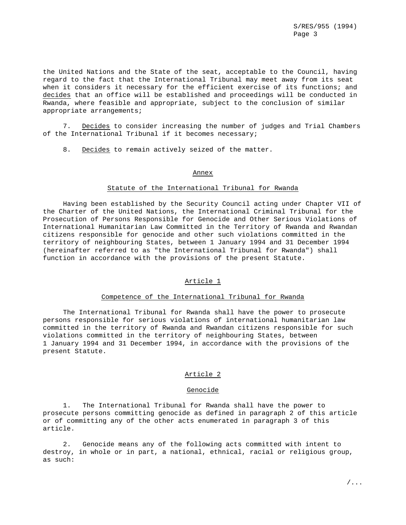the United Nations and the State of the seat, acceptable to the Council, having regard to the fact that the International Tribunal may meet away from its seat when it considers it necessary for the efficient exercise of its functions; and decides that an office will be established and proceedings will be conducted in Rwanda, where feasible and appropriate, subject to the conclusion of similar appropriate arrangements;

7. Decides to consider increasing the number of judges and Trial Chambers of the International Tribunal if it becomes necessary;

8. Decides to remain actively seized of the matter.

#### Annex

#### Statute of the International Tribunal for Rwanda

Having been established by the Security Council acting under Chapter VII of the Charter of the United Nations, the International Criminal Tribunal for the Prosecution of Persons Responsible for Genocide and Other Serious Violations of International Humanitarian Law Committed in the Territory of Rwanda and Rwandan citizens responsible for genocide and other such violations committed in the territory of neighbouring States, between 1 January 1994 and 31 December 1994 (hereinafter referred to as "the International Tribunal for Rwanda") shall function in accordance with the provisions of the present Statute.

## Article 1

## Competence of the International Tribunal for Rwanda

The International Tribunal for Rwanda shall have the power to prosecute persons responsible for serious violations of international humanitarian law committed in the territory of Rwanda and Rwandan citizens responsible for such violations committed in the territory of neighbouring States, between 1 January 1994 and 31 December 1994, in accordance with the provisions of the present Statute.

#### Article 2

#### Genocide

1. The International Tribunal for Rwanda shall have the power to prosecute persons committing genocide as defined in paragraph 2 of this article or of committing any of the other acts enumerated in paragraph 3 of this article.

2. Genocide means any of the following acts committed with intent to destroy, in whole or in part, a national, ethnical, racial or religious group, as such: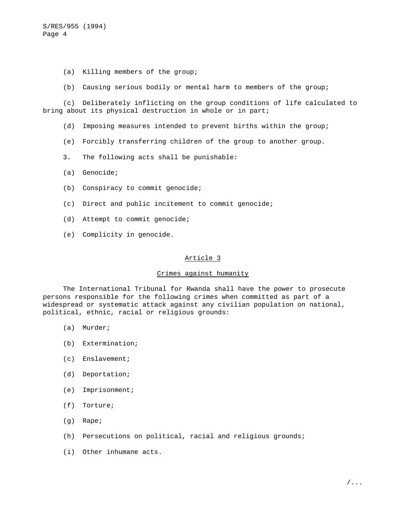- (a) Killing members of the group;
- (b) Causing serious bodily or mental harm to members of the group;

(c) Deliberately inflicting on the group conditions of life calculated to bring about its physical destruction in whole or in part;

- (d) Imposing measures intended to prevent births within the group;
- (e) Forcibly transferring children of the group to another group.
- 3. The following acts shall be punishable:
- (a) Genocide;
- (b) Conspiracy to commit genocide;
- (c) Direct and public incitement to commit genocide;
- (d) Attempt to commit genocide;
- (e) Complicity in genocide.

## Article 3

## Crimes against humanity

The International Tribunal for Rwanda shall have the power to prosecute persons responsible for the following crimes when committed as part of a widespread or systematic attack against any civilian population on national, political, ethnic, racial or religious grounds:

- (a) Murder;
- (b) Extermination;
- (c) Enslavement;
- (d) Deportation;
- (e) Imprisonment;
- (f) Torture;
- (g) Rape;
- (h) Persecutions on political, racial and religious grounds;
- (i) Other inhumane acts.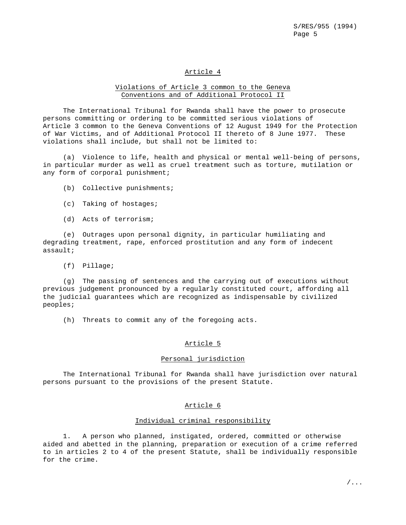## Article 4

## Violations of Article 3 common to the Geneva Conventions and of Additional Protocol II

The International Tribunal for Rwanda shall have the power to prosecute persons committing or ordering to be committed serious violations of Article 3 common to the Geneva Conventions of 12 August 1949 for the Protection of War Victims, and of Additional Protocol II thereto of 8 June 1977. These violations shall include, but shall not be limited to:

(a) Violence to life, health and physical or mental well-being of persons, in particular murder as well as cruel treatment such as torture, mutilation or any form of corporal punishment;

- (b) Collective punishments;
- (c) Taking of hostages;
- (d) Acts of terrorism;

(e) Outrages upon personal dignity, in particular humiliating and degrading treatment, rape, enforced prostitution and any form of indecent assault;

(f) Pillage;

(g) The passing of sentences and the carrying out of executions without previous judgement pronounced by a regularly constituted court, affording all the judicial guarantees which are recognized as indispensable by civilized peoples;

(h) Threats to commit any of the foregoing acts.

# Article 5

# Personal jurisdiction

The International Tribunal for Rwanda shall have jurisdiction over natural persons pursuant to the provisions of the present Statute.

#### Article 6

#### Individual criminal responsibility

1. A person who planned, instigated, ordered, committed or otherwise aided and abetted in the planning, preparation or execution of a crime referred to in articles 2 to 4 of the present Statute, shall be individually responsible for the crime.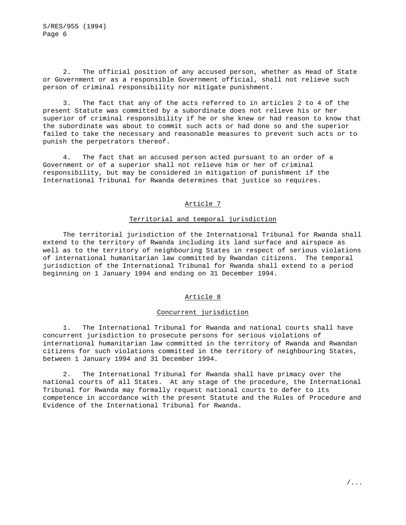2. The official position of any accused person, whether as Head of State or Government or as a responsible Government official, shall not relieve such person of criminal responsibility nor mitigate punishment.

3. The fact that any of the acts referred to in articles 2 to 4 of the present Statute was committed by a subordinate does not relieve his or her superior of criminal responsibility if he or she knew or had reason to know that the subordinate was about to commit such acts or had done so and the superior failed to take the necessary and reasonable measures to prevent such acts or to punish the perpetrators thereof.

4. The fact that an accused person acted pursuant to an order of a Government or of a superior shall not relieve him or her of criminal responsibility, but may be considered in mitigation of punishment if the International Tribunal for Rwanda determines that justice so requires.

## Article 7

# Territorial and temporal jurisdiction

The territorial jurisdiction of the International Tribunal for Rwanda shall extend to the territory of Rwanda including its land surface and airspace as well as to the territory of neighbouring States in respect of serious violations of international humanitarian law committed by Rwandan citizens. The temporal jurisdiction of the International Tribunal for Rwanda shall extend to a period beginning on 1 January 1994 and ending on 31 December 1994.

## Article 8

#### Concurrent jurisdiction

1. The International Tribunal for Rwanda and national courts shall have concurrent jurisdiction to prosecute persons for serious violations of international humanitarian law committed in the territory of Rwanda and Rwandan citizens for such violations committed in the territory of neighbouring States, between 1 January 1994 and 31 December 1994.

2. The International Tribunal for Rwanda shall have primacy over the national courts of all States. At any stage of the procedure, the International Tribunal for Rwanda may formally request national courts to defer to its competence in accordance with the present Statute and the Rules of Procedure and Evidence of the International Tribunal for Rwanda.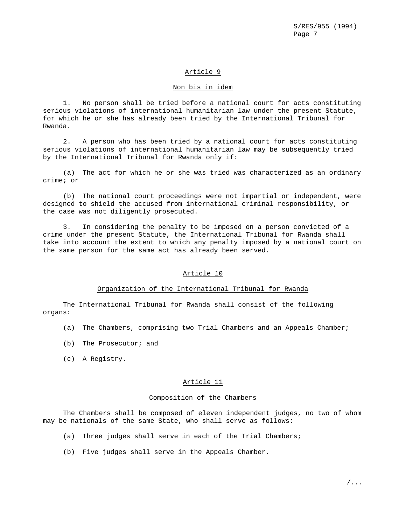#### Article 9

# Non bis in idem

1. No person shall be tried before a national court for acts constituting serious violations of international humanitarian law under the present Statute, for which he or she has already been tried by the International Tribunal for Rwanda.

2. A person who has been tried by a national court for acts constituting serious violations of international humanitarian law may be subsequently tried by the International Tribunal for Rwanda only if:

(a) The act for which he or she was tried was characterized as an ordinary crime; or

(b) The national court proceedings were not impartial or independent, were designed to shield the accused from international criminal responsibility, or the case was not diligently prosecuted.

3. In considering the penalty to be imposed on a person convicted of a crime under the present Statute, the International Tribunal for Rwanda shall take into account the extent to which any penalty imposed by a national court on the same person for the same act has already been served.

## Article 10

#### Organization of the International Tribunal for Rwanda

The International Tribunal for Rwanda shall consist of the following organs:

- (a) The Chambers, comprising two Trial Chambers and an Appeals Chamber;
- (b) The Prosecutor; and
- (c) A Registry.

#### Article 11

## Composition of the Chambers

The Chambers shall be composed of eleven independent judges, no two of whom may be nationals of the same State, who shall serve as follows:

- (a) Three judges shall serve in each of the Trial Chambers;
- (b) Five judges shall serve in the Appeals Chamber.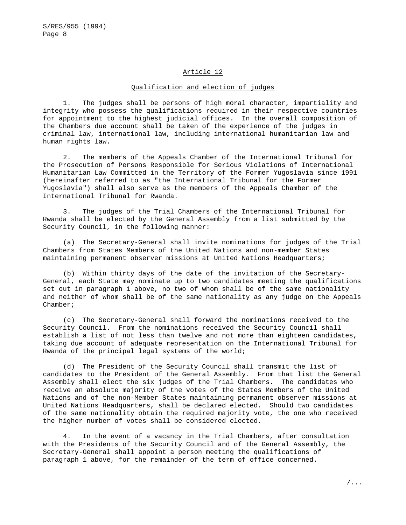## Article 12

# Qualification and election of judges

1. The judges shall be persons of high moral character, impartiality and integrity who possess the qualifications required in their respective countries for appointment to the highest judicial offices. In the overall composition of the Chambers due account shall be taken of the experience of the judges in criminal law, international law, including international humanitarian law and human rights law.

2. The members of the Appeals Chamber of the International Tribunal for the Prosecution of Persons Responsible for Serious Violations of International Humanitarian Law Committed in the Territory of the Former Yugoslavia since 1991 (hereinafter referred to as "the International Tribunal for the Former Yugoslavia") shall also serve as the members of the Appeals Chamber of the International Tribunal for Rwanda.

3. The judges of the Trial Chambers of the International Tribunal for Rwanda shall be elected by the General Assembly from a list submitted by the Security Council, in the following manner:

(a) The Secretary-General shall invite nominations for judges of the Trial Chambers from States Members of the United Nations and non-member States maintaining permanent observer missions at United Nations Headquarters;

(b) Within thirty days of the date of the invitation of the Secretary-General, each State may nominate up to two candidates meeting the qualifications set out in paragraph 1 above, no two of whom shall be of the same nationality and neither of whom shall be of the same nationality as any judge on the Appeals Chamber;

(c) The Secretary-General shall forward the nominations received to the Security Council. From the nominations received the Security Council shall establish a list of not less than twelve and not more than eighteen candidates, taking due account of adequate representation on the International Tribunal for Rwanda of the principal legal systems of the world;

(d) The President of the Security Council shall transmit the list of candidates to the President of the General Assembly. From that list the General Assembly shall elect the six judges of the Trial Chambers. The candidates who receive an absolute majority of the votes of the States Members of the United Nations and of the non-Member States maintaining permanent observer missions at United Nations Headquarters, shall be declared elected. Should two candidates of the same nationality obtain the required majority vote, the one who received the higher number of votes shall be considered elected.

4. In the event of a vacancy in the Trial Chambers, after consultation with the Presidents of the Security Council and of the General Assembly, the Secretary-General shall appoint a person meeting the qualifications of paragraph 1 above, for the remainder of the term of office concerned.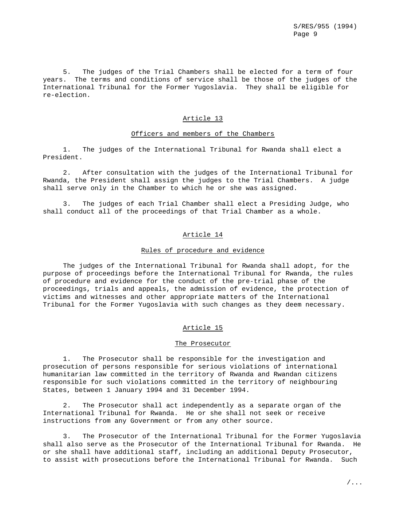5. The judges of the Trial Chambers shall be elected for a term of four years. The terms and conditions of service shall be those of the judges of the International Tribunal for the Former Yugoslavia. They shall be eligible for re-election.

#### Article 13

#### Officers and members of the Chambers

1. The judges of the International Tribunal for Rwanda shall elect a President.

2. After consultation with the judges of the International Tribunal for Rwanda, the President shall assign the judges to the Trial Chambers. A judge shall serve only in the Chamber to which he or she was assigned.

3. The judges of each Trial Chamber shall elect a Presiding Judge, who shall conduct all of the proceedings of that Trial Chamber as a whole.

## Article 14

## Rules of procedure and evidence

The judges of the International Tribunal for Rwanda shall adopt, for the purpose of proceedings before the International Tribunal for Rwanda, the rules of procedure and evidence for the conduct of the pre-trial phase of the proceedings, trials and appeals, the admission of evidence, the protection of victims and witnesses and other appropriate matters of the International Tribunal for the Former Yugoslavia with such changes as they deem necessary.

## Article 15

## The Prosecutor

1. The Prosecutor shall be responsible for the investigation and prosecution of persons responsible for serious violations of international humanitarian law committed in the territory of Rwanda and Rwandan citizens responsible for such violations committed in the territory of neighbouring States, between 1 January 1994 and 31 December 1994.

2. The Prosecutor shall act independently as a separate organ of the International Tribunal for Rwanda. He or she shall not seek or receive instructions from any Government or from any other source.

3. The Prosecutor of the International Tribunal for the Former Yugoslavia shall also serve as the Prosecutor of the International Tribunal for Rwanda. He or she shall have additional staff, including an additional Deputy Prosecutor, to assist with prosecutions before the International Tribunal for Rwanda. Such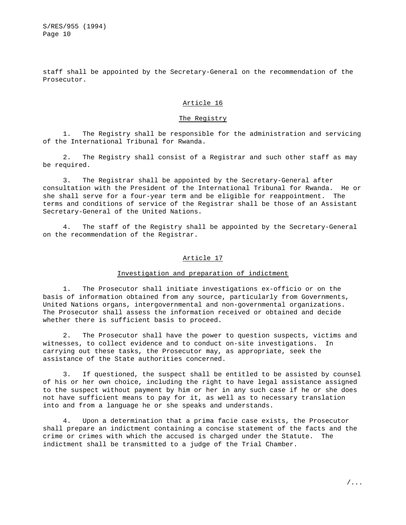staff shall be appointed by the Secretary-General on the recommendation of the Prosecutor.

## Article 16

#### The Registry

1. The Registry shall be responsible for the administration and servicing of the International Tribunal for Rwanda.

2. The Registry shall consist of a Registrar and such other staff as may be required.

3. The Registrar shall be appointed by the Secretary-General after consultation with the President of the International Tribunal for Rwanda. He or she shall serve for a four-year term and be eligible for reappointment. The terms and conditions of service of the Registrar shall be those of an Assistant Secretary-General of the United Nations.

4. The staff of the Registry shall be appointed by the Secretary-General on the recommendation of the Registrar.

#### Article 17

## Investigation and preparation of indictment

1. The Prosecutor shall initiate investigations ex-officio or on the basis of information obtained from any source, particularly from Governments, United Nations organs, intergovernmental and non-governmental organizations. The Prosecutor shall assess the information received or obtained and decide whether there is sufficient basis to proceed.

2. The Prosecutor shall have the power to question suspects, victims and witnesses, to collect evidence and to conduct on-site investigations. In carrying out these tasks, the Prosecutor may, as appropriate, seek the assistance of the State authorities concerned.

3. If questioned, the suspect shall be entitled to be assisted by counsel of his or her own choice, including the right to have legal assistance assigned to the suspect without payment by him or her in any such case if he or she does not have sufficient means to pay for it, as well as to necessary translation into and from a language he or she speaks and understands.

4. Upon a determination that a prima facie case exists, the Prosecutor shall prepare an indictment containing a concise statement of the facts and the crime or crimes with which the accused is charged under the Statute. The indictment shall be transmitted to a judge of the Trial Chamber.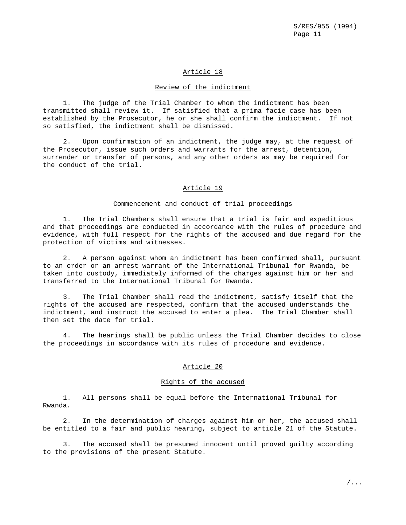## Article 18

# Review of the indictment

1. The judge of the Trial Chamber to whom the indictment has been transmitted shall review it. If satisfied that a prima facie case has been established by the Prosecutor, he or she shall confirm the indictment. If not so satisfied, the indictment shall be dismissed.

2. Upon confirmation of an indictment, the judge may, at the request of the Prosecutor, issue such orders and warrants for the arrest, detention, surrender or transfer of persons, and any other orders as may be required for the conduct of the trial.

#### Article 19

#### Commencement and conduct of trial proceedings

1. The Trial Chambers shall ensure that a trial is fair and expeditious and that proceedings are conducted in accordance with the rules of procedure and evidence, with full respect for the rights of the accused and due regard for the protection of victims and witnesses.

2. A person against whom an indictment has been confirmed shall, pursuant to an order or an arrest warrant of the International Tribunal for Rwanda, be taken into custody, immediately informed of the charges against him or her and transferred to the International Tribunal for Rwanda.

3. The Trial Chamber shall read the indictment, satisfy itself that the rights of the accused are respected, confirm that the accused understands the indictment, and instruct the accused to enter a plea. The Trial Chamber shall then set the date for trial.

4. The hearings shall be public unless the Trial Chamber decides to close the proceedings in accordance with its rules of procedure and evidence.

#### Article 20

## Rights of the accused

1. All persons shall be equal before the International Tribunal for Rwanda.

2. In the determination of charges against him or her, the accused shall be entitled to a fair and public hearing, subject to article 21 of the Statute.

3. The accused shall be presumed innocent until proved guilty according to the provisions of the present Statute.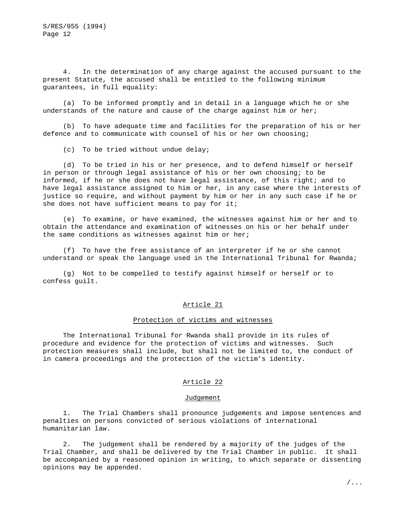4. In the determination of any charge against the accused pursuant to the present Statute, the accused shall be entitled to the following minimum guarantees, in full equality:

(a) To be informed promptly and in detail in a language which he or she understands of the nature and cause of the charge against him or her;

(b) To have adequate time and facilities for the preparation of his or her defence and to communicate with counsel of his or her own choosing;

(c) To be tried without undue delay;

(d) To be tried in his or her presence, and to defend himself or herself in person or through legal assistance of his or her own choosing; to be informed, if he or she does not have legal assistance, of this right; and to have legal assistance assigned to him or her, in any case where the interests of justice so require, and without payment by him or her in any such case if he or she does not have sufficient means to pay for it;

(e) To examine, or have examined, the witnesses against him or her and to obtain the attendance and examination of witnesses on his or her behalf under the same conditions as witnesses against him or her;

(f) To have the free assistance of an interpreter if he or she cannot understand or speak the language used in the International Tribunal for Rwanda;

(g) Not to be compelled to testify against himself or herself or to confess guilt.

## Article 21

## Protection of victims and witnesses

The International Tribunal for Rwanda shall provide in its rules of procedure and evidence for the protection of victims and witnesses. Such protection measures shall include, but shall not be limited to, the conduct of in camera proceedings and the protection of the victim's identity.

# Article 22

#### Judgement

1. The Trial Chambers shall pronounce judgements and impose sentences and penalties on persons convicted of serious violations of international humanitarian law.

2. The judgement shall be rendered by a majority of the judges of the Trial Chamber, and shall be delivered by the Trial Chamber in public. It shall be accompanied by a reasoned opinion in writing, to which separate or dissenting opinions may be appended.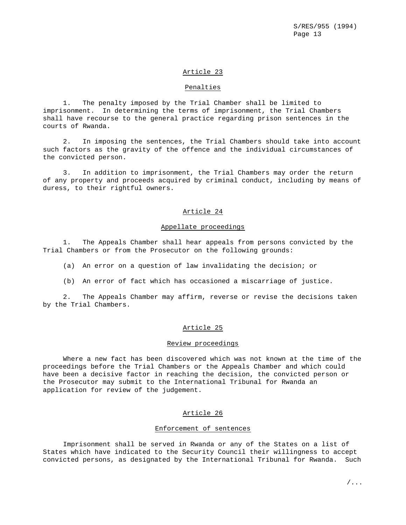## Article 23

## Penalties

1. The penalty imposed by the Trial Chamber shall be limited to imprisonment. In determining the terms of imprisonment, the Trial Chambers shall have recourse to the general practice regarding prison sentences in the courts of Rwanda.

2. In imposing the sentences, the Trial Chambers should take into account such factors as the gravity of the offence and the individual circumstances of the convicted person.

3. In addition to imprisonment, the Trial Chambers may order the return of any property and proceeds acquired by criminal conduct, including by means of duress, to their rightful owners.

## Article 24

#### Appellate proceedings

1. The Appeals Chamber shall hear appeals from persons convicted by the Trial Chambers or from the Prosecutor on the following grounds:

- (a) An error on a question of law invalidating the decision; or
- (b) An error of fact which has occasioned a miscarriage of justice.

2. The Appeals Chamber may affirm, reverse or revise the decisions taken by the Trial Chambers.

## Article 25

#### Review proceedings

Where a new fact has been discovered which was not known at the time of the proceedings before the Trial Chambers or the Appeals Chamber and which could have been a decisive factor in reaching the decision, the convicted person or the Prosecutor may submit to the International Tribunal for Rwanda an application for review of the judgement.

#### Article 26

#### Enforcement of sentences

Imprisonment shall be served in Rwanda or any of the States on a list of States which have indicated to the Security Council their willingness to accept convicted persons, as designated by the International Tribunal for Rwanda. Such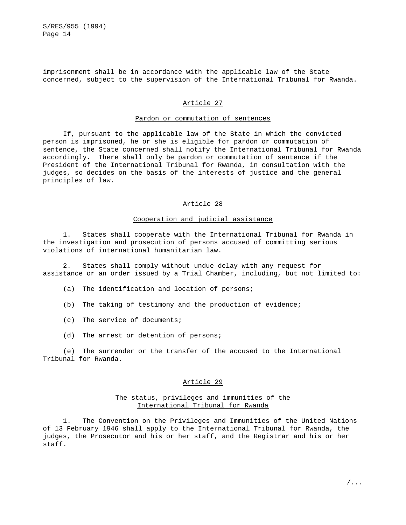imprisonment shall be in accordance with the applicable law of the State concerned, subject to the supervision of the International Tribunal for Rwanda.

#### Article 27

#### Pardon or commutation of sentences

If, pursuant to the applicable law of the State in which the convicted person is imprisoned, he or she is eligible for pardon or commutation of sentence, the State concerned shall notify the International Tribunal for Rwanda accordingly. There shall only be pardon or commutation of sentence if the President of the International Tribunal for Rwanda, in consultation with the judges, so decides on the basis of the interests of justice and the general principles of law.

#### Article 28

#### Cooperation and judicial assistance

1. States shall cooperate with the International Tribunal for Rwanda in the investigation and prosecution of persons accused of committing serious violations of international humanitarian law.

2. States shall comply without undue delay with any request for assistance or an order issued by a Trial Chamber, including, but not limited to:

- (a) The identification and location of persons;
- (b) The taking of testimony and the production of evidence;
- (c) The service of documents;
- (d) The arrest or detention of persons;

(e) The surrender or the transfer of the accused to the International Tribunal for Rwanda.

## Article 29

# The status, privileges and immunities of the International Tribunal for Rwanda

1. The Convention on the Privileges and Immunities of the United Nations of 13 February 1946 shall apply to the International Tribunal for Rwanda, the judges, the Prosecutor and his or her staff, and the Registrar and his or her staff.